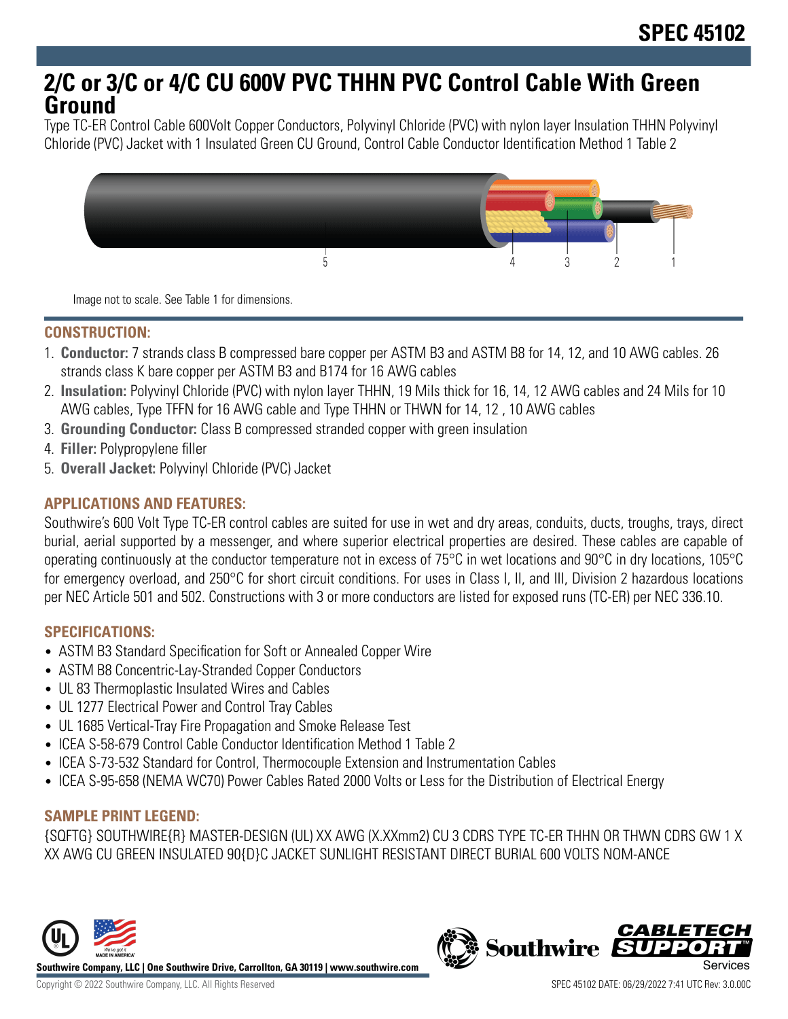# **2/C or 3/C or 4/C CU 600V PVC THHN PVC Control Cable With Green Ground**

Type TC-ER Control Cable 600Volt Copper Conductors, Polyvinyl Chloride (PVC) with nylon layer Insulation THHN Polyvinyl Chloride (PVC) Jacket with 1 Insulated Green CU Ground, Control Cable Conductor Identification Method 1 Table 2



Image not to scale. See Table 1 for dimensions.

### **CONSTRUCTION:**

- 1. **Conductor:** 7 strands class B compressed bare copper per ASTM B3 and ASTM B8 for 14, 12, and 10 AWG cables. 26 strands class K bare copper per ASTM B3 and B174 for 16 AWG cables
- 2. **Insulation:** Polyvinyl Chloride (PVC) with nylon layer THHN, 19 Mils thick for 16, 14, 12 AWG cables and 24 Mils for 10 AWG cables, Type TFFN for 16 AWG cable and Type THHN or THWN for 14, 12 , 10 AWG cables
- 3. **Grounding Conductor:** Class B compressed stranded copper with green insulation
- 4. **Filler:** Polypropylene filler
- 5. **Overall Jacket:** Polyvinyl Chloride (PVC) Jacket

## **APPLICATIONS AND FEATURES:**

Southwire's 600 Volt Type TC-ER control cables are suited for use in wet and dry areas, conduits, ducts, troughs, trays, direct burial, aerial supported by a messenger, and where superior electrical properties are desired. These cables are capable of operating continuously at the conductor temperature not in excess of 75°C in wet locations and 90°C in dry locations, 105°C for emergency overload, and 250°C for short circuit conditions. For uses in Class I, II, and III, Division 2 hazardous locations per NEC Article 501 and 502. Constructions with 3 or more conductors are listed for exposed runs (TC-ER) per NEC 336.10.

#### **SPECIFICATIONS:**

- ASTM B3 Standard Specification for Soft or Annealed Copper Wire
- ASTM B8 Concentric-Lay-Stranded Copper Conductors
- UL 83 Thermoplastic Insulated Wires and Cables
- UL 1277 Electrical Power and Control Tray Cables
- UL 1685 Vertical-Tray Fire Propagation and Smoke Release Test
- ICEA S-58-679 Control Cable Conductor Identification Method 1 Table 2
- ICEA S-73-532 Standard for Control, Thermocouple Extension and Instrumentation Cables
- ICEA S-95-658 (NEMA WC70) Power Cables Rated 2000 Volts or Less for the Distribution of Electrical Energy

#### **SAMPLE PRINT LEGEND:**

{SQFTG} SOUTHWIRE{R} MASTER-DESIGN (UL) XX AWG (X.XXmm2) CU 3 CDRS TYPE TC-ER THHN OR THWN CDRS GW 1 X XX AWG CU GREEN INSULATED 90{D}C JACKET SUNLIGHT RESISTANT DIRECT BURIAL 600 VOLTS NOM-ANCE



**Southwire Company, LLC | One Southwire Drive, Carrollton, GA 30119 | www.southwire.com**